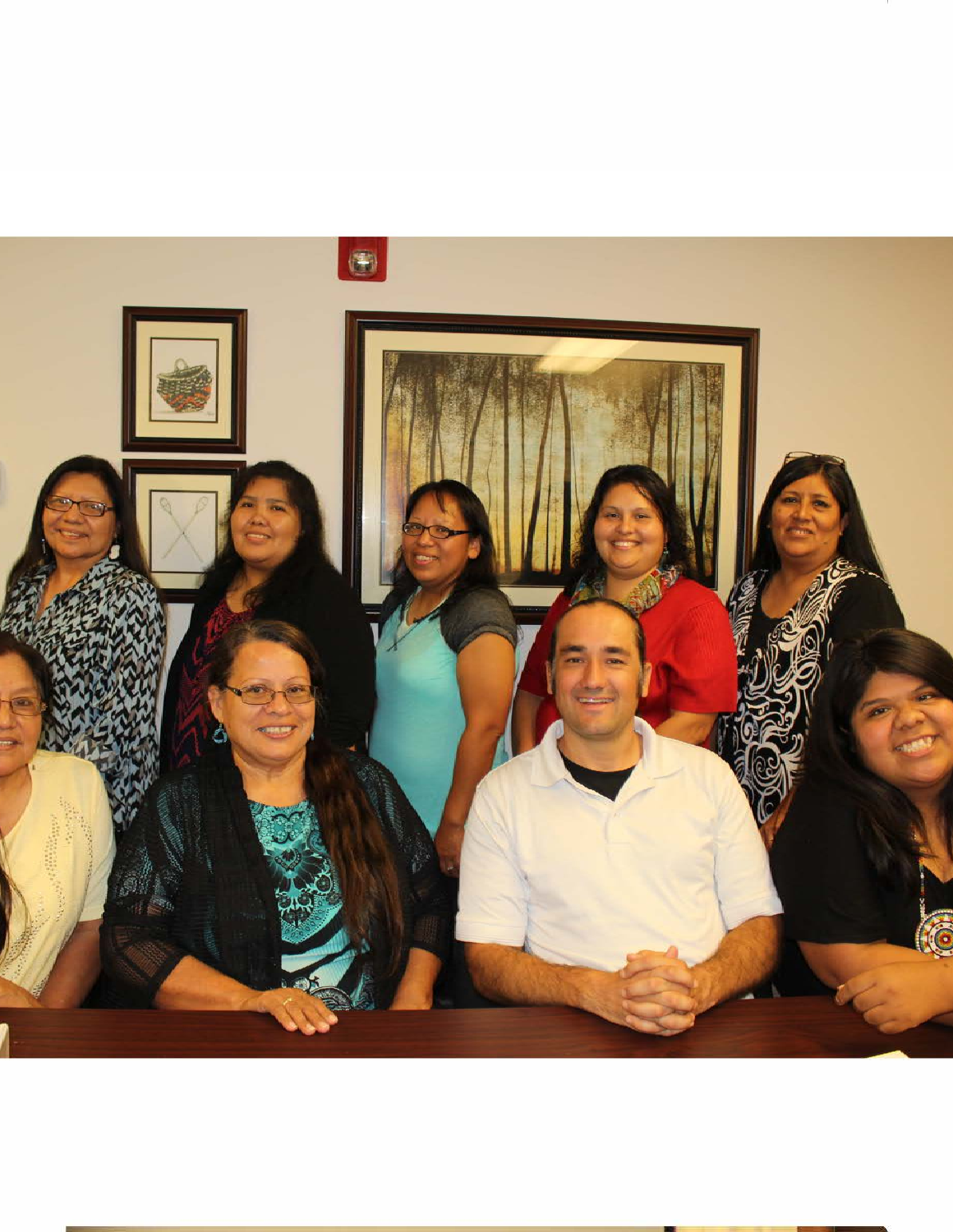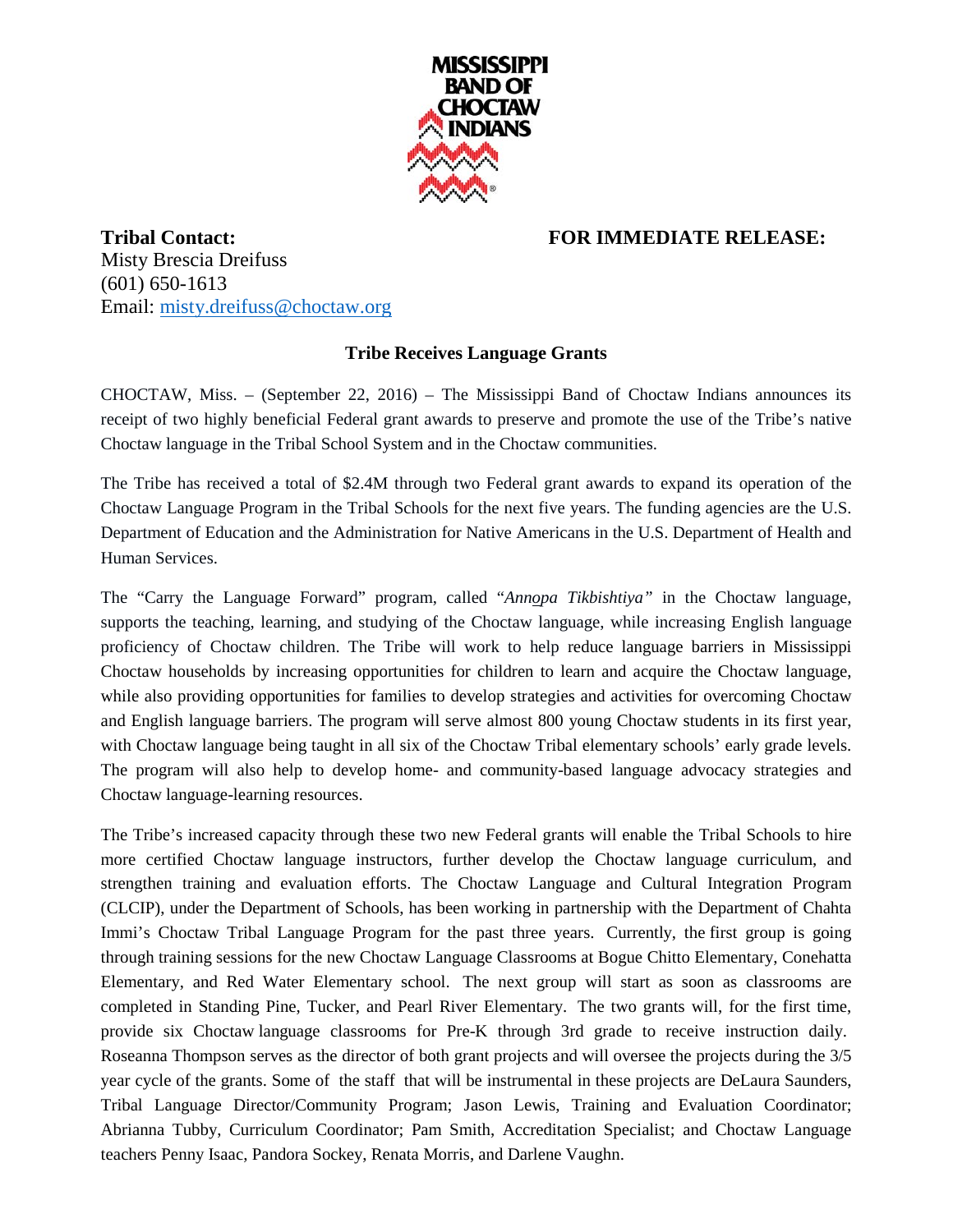

**Tribal Contact: FOR IMMEDIATE RELEASE:**  Misty Brescia Dreifuss (601) 650-1613 Email: [misty.dreifuss@choctaw.org](mailto:misty.dreifuss@choctaw.org)

## **Tribe Receives Language Grants**

CHOCTAW, Miss. – (September 22, 2016) – The Mississippi Band of Choctaw Indians announces its receipt of two highly beneficial Federal grant awards to preserve and promote the use of the Tribe's native Choctaw language in the Tribal School System and in the Choctaw communities.

The Tribe has received a total of \$2.4M through two Federal grant awards to expand its operation of the Choctaw Language Program in the Tribal Schools for the next five years. The funding agencies are the U.S. Department of Education and the Administration for Native Americans in the U.S. Department of Health and Human Services.

The "Carry the Language Forward" program, called "*Annopa Tikbishtiya"* in the Choctaw language, supports the teaching, learning, and studying of the Choctaw language, while increasing English language proficiency of Choctaw children. The Tribe will work to help reduce language barriers in Mississippi Choctaw households by increasing opportunities for children to learn and acquire the Choctaw language, while also providing opportunities for families to develop strategies and activities for overcoming Choctaw and English language barriers. The program will serve almost 800 young Choctaw students in its first year, with Choctaw language being taught in all six of the Choctaw Tribal elementary schools' early grade levels. The program will also help to develop home- and community-based language advocacy strategies and Choctaw language-learning resources.

The Tribe's increased capacity through these two new Federal grants will enable the Tribal Schools to hire more certified Choctaw language instructors, further develop the Choctaw language curriculum, and strengthen training and evaluation efforts. The Choctaw Language and Cultural Integration Program (CLCIP), under the Department of Schools, has been working in partnership with the Department of Chahta Immi's Choctaw Tribal Language Program for the past three years. Currently, the first group is going through training sessions for the new Choctaw Language Classrooms at Bogue Chitto Elementary, Conehatta Elementary, and Red Water Elementary school. The next group will start as soon as classrooms are completed in Standing Pine, Tucker, and Pearl River Elementary. The two grants will, for the first time, provide six Choctaw language classrooms for Pre-K through 3rd grade to receive instruction daily. Roseanna Thompson serves as the director of both grant projects and will oversee the projects during the 3/5 year cycle of the grants. Some of the staff that will be instrumental in these projects are DeLaura Saunders, Tribal Language Director/Community Program; Jason Lewis, Training and Evaluation Coordinator; Abrianna Tubby, Curriculum Coordinator; Pam Smith, Accreditation Specialist; and Choctaw Language teachers Penny Isaac, Pandora Sockey, Renata Morris, and Darlene Vaughn.